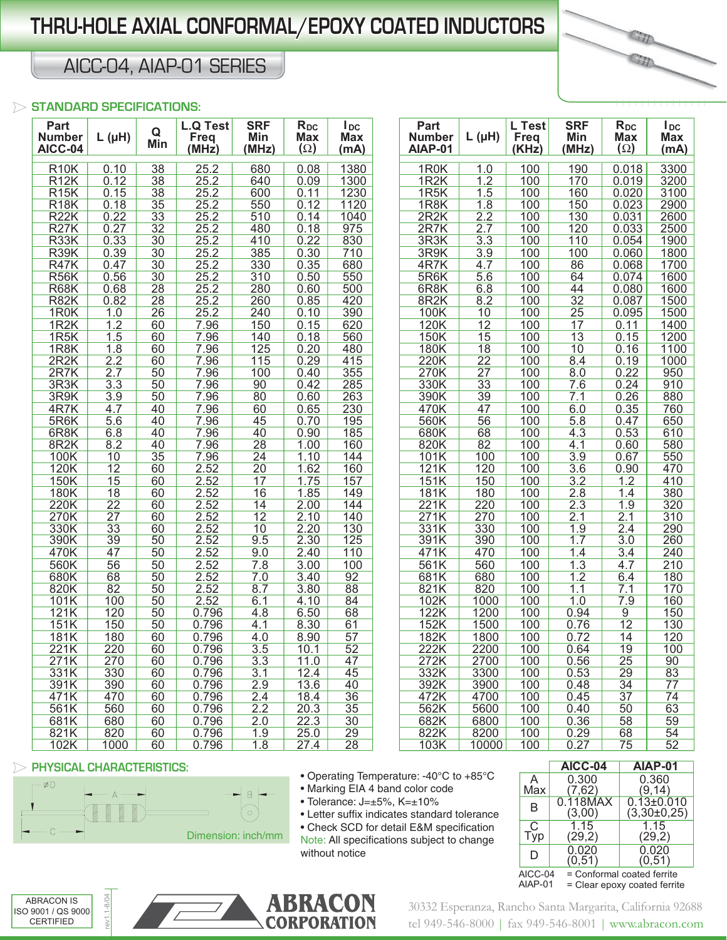## **THRU-HOLE AXIAL CONFORMAL/EPOXY COATED INDUCTORS HRU-HOLE**

## AICC-04, AIAP-01 SERIES

#### **STANDARD SPECIFICATIONS:**

| Part<br><b>Number</b><br>AICC-04 | $L(\mu H)$       | Q<br>Min | <b>L.Q Test</b><br><b>Freq</b><br>(MHz) | <b>SRF</b><br>Min<br>(MHz) | $R_{DC}$<br><b>Max</b><br>$(\Omega)$ | $I_{DC}$<br><b>Max</b><br>(mA) | Part<br><b>Number</b><br><b>AIAP-01</b> | $L(\mu H)$            | L Test<br><b>Freq</b><br>(KHz) | <b>SRF</b><br>Min<br>(MHz) | $R_{DC}$<br><b>Max</b><br>$(\Omega)$ | $I_{DC}$<br>Max<br>(mA) |
|----------------------------------|------------------|----------|-----------------------------------------|----------------------------|--------------------------------------|--------------------------------|-----------------------------------------|-----------------------|--------------------------------|----------------------------|--------------------------------------|-------------------------|
| <b>R10K</b>                      | 0.10             | 38       | 25.2                                    | 680                        | 0.08                                 | 1380                           | 1R0K                                    | 1.0                   | 100                            | 190                        | 0.018                                | 3300                    |
| <b>R12K</b>                      | 0.12             | 38       | 25.2                                    | 640                        | 0.09                                 | 1300                           | 1R <sub>2</sub> K                       | 1.2                   | 100                            | 170                        | 0.019                                | 3200                    |
| R15K                             | 0.15             | 38       | 25.2                                    | 600                        | 0.11                                 | 1230                           | 1R5K                                    | 1.5                   | 100                            | 160                        | 0.020                                | 3100                    |
| <b>R18K</b>                      | 0.18             | 35       | 25.2                                    | 550                        | 0.12                                 | 1120                           | 1R8K                                    | 1.8                   | 100                            | 150                        | 0.023                                | 2900                    |
| <b>R22K</b>                      | 0.22             | 33       | 25.2                                    | 510                        | 0.14                                 | 1040                           | 2R2K                                    | 2.2                   | 100                            | 130                        | 0.031                                | 2600                    |
| <b>R27K</b>                      | 0.27             | 32       | 25.2                                    | 480                        | 0.18                                 | 975                            | 2R7K                                    | 2.7                   | 100                            | 120                        | 0.033                                | 2500                    |
| R33K                             | 0.33             | 30       | 25.2                                    | 410                        | 0.22                                 | 830                            | 3R3K                                    | 3.3                   | 100                            | 110                        | 0.054                                | 1900                    |
| <b>R39K</b>                      | 0.39             | 30       | 25.2                                    | 385                        | 0.30                                 | 710                            | 3R9K                                    | 3.9                   | 100                            | 100                        | 0.060                                | 1800                    |
| <b>R47K</b>                      | 0.47             | 30       | 25.2                                    | 330                        | 0.35                                 | 680                            | 4R7K                                    | 4.7                   | 100                            | 86                         | 0.068                                | 1700                    |
| <b>R56K</b>                      | 0.56             | 30       | 25.2                                    | 310                        | 0.50                                 | 550                            | 5R6K                                    | 5.6                   | 100                            | 64                         | 0.074                                | 1600                    |
| <b>R68K</b>                      | 0.68             | 28       | 25.2                                    | 280                        | 0.60                                 | 500                            | 6R <sub>8</sub> K                       | 6.8                   | 100                            | 44                         | 0.080                                | 1600                    |
| <b>R82K</b>                      | 0.82             | 28       | 25.2                                    | 260                        | 0.85                                 | 420                            | 8R <sub>2</sub> K                       | 8.2                   | 100                            | 32                         | 0.087                                | 1500                    |
| 1R0K                             | 1.0              | 26       | 25.2                                    | 240                        | 0.10                                 | 390                            | 100K                                    | 10                    | 100                            | 25                         | 0.095                                | 1500                    |
| 1R2K                             | 1.2              | 60       | 7.96                                    | 150                        | 0.15                                 | 620                            | 120K                                    | 12                    | 100                            | 17                         | 0.11                                 | 1400                    |
| 1R5K                             | 1.5              | 60       | 7.96                                    | 140                        | 0.18                                 | 560                            | 150K                                    | 15                    | 100                            | 13                         | 0.15                                 | 1200                    |
| 1R <sub>8</sub> K                | 1.8              | 60<br>60 | 7.96                                    | 125                        | 0.20<br>0.29                         | 480<br>415                     | 180K<br>220K                            | 18<br>$\overline{22}$ | 100<br>100                     | 10                         | 0.16<br>0.19                         | 1100<br>1000            |
| 2R2K<br>2R7K                     | 2.2<br>2.7       | 50       | 7.96<br>7.96                            | 115<br>100                 | 0.40                                 | 355                            | 270K                                    | $\overline{27}$       | 100                            | 8.4<br>8.0                 | 0.22                                 | 950                     |
| 3R3K                             | $\overline{3.3}$ | 50       | 7.96                                    | 90                         | 0.42                                 | 285                            | 330K                                    | 33                    | 100                            | 7.6                        | 0.24                                 | 910                     |
| 3R9K                             | 3.9              | 50       | 7.96                                    | 80                         | 0.60                                 | 263                            | 390K                                    | 39                    | 100                            | 7.1                        | 0.26                                 | 880                     |
| 4R7K                             | 4.7              | 40       | 7.96                                    | 60                         | 0.65                                 | 230                            | 470K                                    | 47                    | 100                            | 6.0                        | 0.35                                 | 760                     |
| 5R6K                             | 5.6              | 40       | 7.96                                    | 45                         | 0.70                                 | 195                            | 560K                                    | 56                    | 100                            | 5.8                        | 0.47                                 | 650                     |
| 6R8K                             | 6.8              | 40       | 7.96                                    | 40                         | 0.90                                 | 185                            | 680K                                    | 68                    | 100                            | $4.\overline{3}$           | 0.53                                 | 610                     |
| 8R <sub>2</sub> K                | 8.2              | 40       | 7.96                                    | 28                         | 1.00                                 | 160                            | 820K                                    | 82                    | 100                            | 4.1                        | 0.60                                 | 580                     |
| 100K                             | 10               | 35       | 7.96                                    | $\overline{24}$            | 1.10                                 | 144                            | 101K                                    | 100                   | 100                            | 3.9                        | 0.67                                 | 550                     |
| 120K                             | 12               | 60       | 2.52                                    | $\overline{20}$            | 1.62                                 | 160                            | 121K                                    | 120                   | 100                            | 3.6                        | 0.90                                 | 470                     |
| 150K                             | 15               | 60       | 2.52                                    | 17                         | 1.75                                 | 157                            | 151K                                    | 150                   | 100                            | 3.2                        | 1.2                                  | 410                     |
| 180K                             | 18               | 60       | 2.52                                    | 16                         | 1.85                                 | 149                            | <b>181K</b>                             | 180                   | 100                            | 2.8                        | 1.4                                  | 380                     |
| 220K                             | $\overline{22}$  | 60       | 2.52                                    | 14                         | 2.00                                 | 144                            | 221K                                    | 220                   | 100                            | 2.3                        | 1.9                                  | 320                     |
| 270K                             | $\overline{27}$  | 60       | 2.52                                    | 12                         | 2.10                                 | 140                            | 271K                                    | 270                   | 100                            | 2.1                        | 2.1                                  | 310                     |
| 330K                             | 33               | 60       | 2.52                                    | 10                         | 2.20                                 | 130                            | 331K                                    | 330                   | 100                            | 1.9                        | $\overline{2.4}$                     | 290                     |
| 390K                             | 39               | 50       | 2.52                                    | 9.5                        | 2.30                                 | 125                            | 391K                                    | 390                   | 100                            | 1.7                        | 3.0                                  | 260                     |
| 470K                             | 47               | 50       | 2.52                                    | 9.0                        | 2.40                                 | 110                            | 471K                                    | 470                   | 100                            | 1.4                        | 3.4                                  | 240                     |
| 560K                             | 56               | 50       | 2.52                                    | 7.8                        | 3.00                                 | 100                            | 561K                                    | 560                   | 100                            | 1.3                        | 4.7                                  | 210                     |
| 680K                             | 68               | 50       | 2.52                                    | 7.0                        | 3.40                                 | 92                             | 681K                                    | 680                   | 100                            | 1.2                        | 6.4                                  | 180                     |
| 820K                             | 82               | 50       | 2.52                                    | 8.7                        | 3.80                                 | 88                             | 821K                                    | 820                   | 100                            | 1.1                        | 7.1                                  | 170                     |
| 101K                             | 100              | 50       | 2.52                                    | 6.1                        | 4.10                                 | 84                             | 102K                                    | 1000                  | 100                            | 1.0                        | 7.9                                  | 160                     |
| 121K                             | 120              | 50       | 0.796                                   | 4.8                        | 6.50                                 | 68                             | 122K                                    | 1200                  | 100                            | 0.94                       | $\overline{9}$                       | 150                     |
| 151K                             | 150              | 50       | 0.796                                   | 4.1                        | 8.30                                 | 61                             | 152K                                    | 1500                  | 100                            | 0.76                       | 12                                   | 130                     |
| 181K                             | 180              | 60       | 0.796                                   | 4.0                        | 8.90                                 | 57                             | 182K                                    | 1800                  | 100                            | 0.72                       | 14                                   | 120                     |
| 221K                             | 220              | 60       | 0.796                                   | 3.5                        | 10.1                                 | 52                             | 222K                                    | 2200                  | 100                            | 0.64                       | 19                                   | 100                     |
| 271K<br>331K                     | 270<br>330       | 60<br>60 | 0.796<br>0.796                          | 3.3<br>3.1                 | 11.0<br>12.4                         | 47                             | 272K<br>332K                            | 2700<br>3300          | 100<br>100                     | 0.56                       | 25<br>29                             | 90<br>83                |
| 391K                             | 390              | 60       | 0.796                                   | 2.9                        | 13.6                                 | 45<br>40                       | 392K                                    | 3900                  | 100                            | 0.53<br>0.48               | $\overline{34}$                      | $\overline{77}$         |
| 471K                             | 470              | 60       | 0.796                                   | 2.4                        | 18.4                                 | 36                             | 472K                                    | 4700                  | 100                            | 0.45                       | 37                                   | 74                      |
| 561K                             | 560              | 60       | 0.796                                   | 2.2                        | 20.3                                 | 35                             | 562K                                    | 5600                  | 100                            | 0.40                       | 50                                   | 63                      |
| 681K                             | 680              | 60       | 0.796                                   | 2.0                        | 22.3                                 | 30                             | 682K                                    | 6800                  | 100                            | 0.36                       | 58                                   | 59                      |
| 821K                             | 820              | 60       | 0.796                                   | 1.9                        | 25.0                                 | 29                             | 822K                                    | 8200                  | 100                            | 0.29                       | 68                                   | 54                      |
| 102K                             | 1000             | 60       | 0.796                                   | 1.8                        | 27.4                                 | $\overline{28}$                | 103K                                    | 10000                 | 100                            | 0.27                       | 75                                   | 52                      |
|                                  |                  |          |                                         |                            |                                      |                                |                                         |                       |                                |                            |                                      |                         |

| umber<br>IAP-01    | L (µH)           | Freq<br>(KHz)    | Min<br>(MHz)     | Max<br>$(\Omega)$ | Max<br>(mA)      |
|--------------------|------------------|------------------|------------------|-------------------|------------------|
| 1R <sub>0</sub> K  | 1.0              | 100              | 190              | 0.018             | 3300             |
| 1R <sub>2</sub> K  | 1.2              | 100              | 170              | 0.019             | 3200             |
| 1R5K               | 1.5              | 100              | 160              | 0.020             | 3100             |
| 1R <sub>8</sub> K  | $\overline{1.8}$ | 100              | 150              | 0.023             | 2900             |
| 2R2K               | 2.2              | 100              | 130              | 0.031             | 2600             |
| 2R7K               | $\overline{2.7}$ | 100              | 120              | 0.033             | 2500             |
| 3R <sub>3</sub> K  | $\overline{3.3}$ | 100              | 110              | 0.054             | 1900             |
| 3R9K               | $\overline{3.9}$ | 100              | 100              | 0.060             | 1800             |
| 4R7K               | 4.7              | 100              | 86               | 0.068             | 1700             |
| 5R6K               | 5.6              | 100              | 64               | 0.074             | 1600             |
| 6R <sub>8</sub> K  | 6.8              | 100              | 44               | 0.080             | 1600             |
| 8R <sub>2</sub> K  | 8.2              | 100              | $\overline{32}$  | 0.087             | 1500             |
| 100K               | $\overline{10}$  | $\overline{100}$ | $\overline{25}$  | 0.095             | 1500             |
| <b>120K</b>        | 12               | 100              | $\overline{17}$  | $0.\overline{11}$ | 1400             |
| 150K               | 15               | 100              | $\overline{13}$  | 0.15              | 1200             |
| <b>180K</b>        | $\overline{18}$  | $\overline{100}$ | 10               | 0.16              | 1100             |
| 220K               | $\overline{22}$  | 100              | 8.4              | 0.19              | 1000             |
| 270K               | $\overline{27}$  | $\overline{100}$ | 8.0              | 0.22              | 950              |
| 330K               | $\overline{33}$  | 100              | 7.6              | 0.24              | $\overline{910}$ |
| 390K               | 39               | 100              | 7.1              | 0.26              | 880              |
| 470K               | 47               | 100              | 6.0              | 0.35              | 760              |
| 560K               | 56               | 100              | 5.8              | 0.47              | 650              |
| 680K               | 68               | 100              | 4.3              | 0.53              | 610              |
| 820K               | 82               | 100              | 4.1              | 0.60              | 580              |
| 101K               | $\overline{100}$ | 100              | $\overline{3.9}$ | 0.67              | 550              |
| 121K               | 120              | 100              | 3.6              | 0.90              | 470              |
| 151K               | 150              | $\overline{100}$ | $\overline{3.2}$ | $\overline{1.2}$  | 410              |
| 181K               | 180              | 100              | 2.8              | 1.4               | 380              |
| 221K               | 220              | 100              | 2.3              | 1.9               | 320              |
| $\overline{271K}$  | 270              | 100              | 2.1              | 2.1               | $\overline{310}$ |
| 331K               | 330              | 100              | 1.9              | $\overline{2.4}$  | 290              |
| 391K               | 390              | 100              | 1.7              | $\overline{3.0}$  | 260              |
| 471K               | 470              | 100              | 1.4              | $\overline{3.4}$  | 240              |
| $\overline{56}$ 1K | 560              | 100              | 1.3              | 4.7               | 210              |
| 681K               | 680              | 100              | 1.2              | 6.4               | 180              |
| 821K               | 820              | 100              | 1.1              | 7.1               | 170              |
| 102K               | 1000             | 100              | 1.0              | 7.9               | 160              |
| 122K               | 1200             | 100              | 0.94             | $\overline{9}$    | 150              |
| $\frac{1}{152}$ K  | 1500             | 100              | 0.76             | $\overline{12}$   | 130              |
| 182K               | 1800             | 100              | 0.72             | 14                | 120              |
| 222K               | 2200             | 100              | 0.64             | 19                | 100              |
| 272K               | 2700             | 100              | 0.56             | $\overline{25}$   | 90               |
| 332K               | 3300             | 100              | 0.53             | 29                | 83               |
| 392K               | 3900             | 100              | 0.48             | $\overline{34}$   | $\overline{77}$  |
| 472K               | 4700             | 100              | 0.45             | $\overline{37}$   | $\overline{74}$  |
| 562K               | 5600             | 100              | 0.40             | $\overline{50}$   | 63               |
|                    |                  |                  |                  |                   |                  |

|||||||||||||||

#### **PHYSICAL CHARACTERISTICS:**

 $-8/04$ rev1.1-8/04



• Operating Temperature: -40°C to +85°C

• Marking EIA 4 band color code

• Tolerance: J=±5%, K=±10%

• Letter suffix indicates standard tolerance • Check SCD for detail E&M specification

Note: All specifications subject to change without notice

|         | AICC-04                                 | AIAP-01                    |  |  |  |  |  |  |
|---------|-----------------------------------------|----------------------------|--|--|--|--|--|--|
| A       | 0.300                                   | 0.360                      |  |  |  |  |  |  |
| Max     | (7,62)                                  | (9, 14)                    |  |  |  |  |  |  |
| B       | $0.118$ MAX                             | $0.13 \pm 0.010$           |  |  |  |  |  |  |
|         | (3,00)                                  | $(3,30\pm0,25)$            |  |  |  |  |  |  |
| C       | 1.15                                    | 1.15                       |  |  |  |  |  |  |
| Typ     | (29,2)                                  | (29,2)                     |  |  |  |  |  |  |
| D       | 0.020                                   | 0.020                      |  |  |  |  |  |  |
|         | (0,51)                                  | (0, 51)                    |  |  |  |  |  |  |
| AICC-04 |                                         | = Conformal coated ferrite |  |  |  |  |  |  |
|         | AIAP-01<br>= Clear epoxy coated ferrite |                            |  |  |  |  |  |  |

ABRACON IS ISO 9001 / QS 9000 CERTIFIED



 $\frac{30}{2}$  Eq. 0.000 L for 0.40 5.46 8001 L www.ekracen.com tel 949-546-8000 | fax 949-546-8001 | www.abracon.com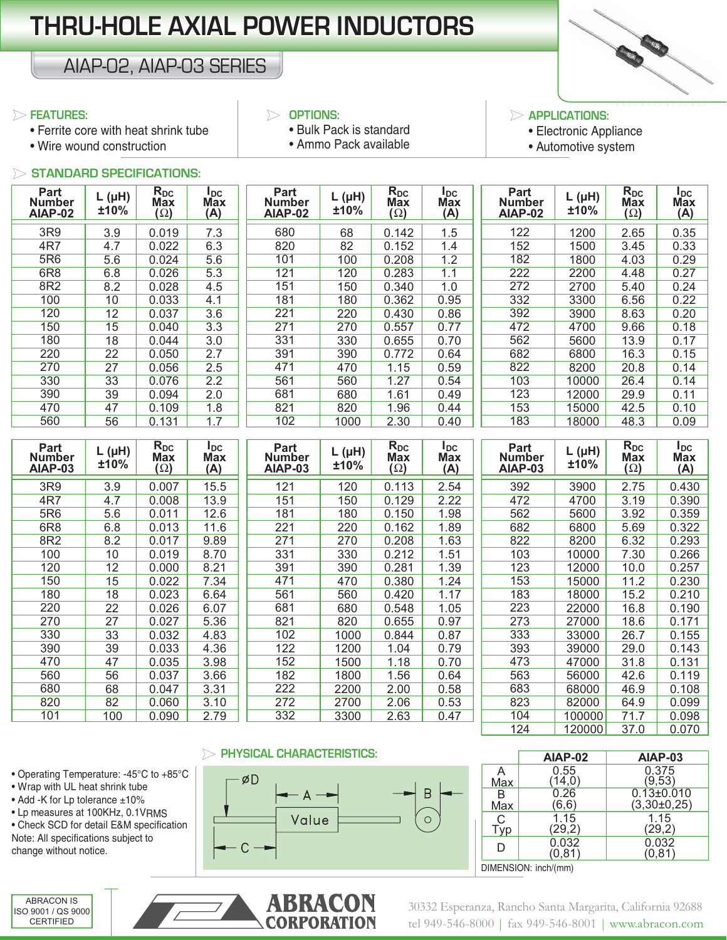# **THRU-HOLE AXIAL POWER INDUCTORS**

## AIAP-02, AIAP-03 SERIES

#### **FEATURES:**

- Ferrite core with heat shrink tube
- Wire wound construction

#### **OPTIONS:**

- Bulk Pack is standard • Ammo Pack available
- 

### **APPLICATIONS:**

• Electronic Appliance

|||||||||||||||

• Automotive system

#### **STANDARD SPECIFICATIONS:**

| Part<br><b>Number</b><br>AIAP-02        | $L(\mu H)$<br>±10% | $R_{DC}$<br><b>Max</b><br>$(\Omega)$ | $I_{DC}$<br><b>Max</b><br>(A) | Part<br><b>Number</b><br><b>AIAP-02</b> | $L(\mu H)$<br>±10% | $\overline{R}_{DC}$<br>Max<br>$(\Omega)$ | $I_{DC}$<br><b>Max</b><br>(A) | <b>Part</b><br><b>Number</b><br>AIAP-02 | $L(\mu H)$<br>±10% | $\overline{R}_{DC}$<br>Max<br>$(\Omega)$        | $I_{DC}$<br><b>Max</b><br>(A) |
|-----------------------------------------|--------------------|--------------------------------------|-------------------------------|-----------------------------------------|--------------------|------------------------------------------|-------------------------------|-----------------------------------------|--------------------|-------------------------------------------------|-------------------------------|
| 3R9                                     | 3.9                | 0.019                                | 7.3                           | 680                                     | 68                 | 0.142                                    | 1.5                           | 122                                     | 1200               | 2.65                                            | 0.35                          |
| 4R7                                     | 4.7                | 0.022                                | 6.3                           | 820                                     | 82                 | 0.152                                    | 1.4                           | 152                                     | 1500               | 3.45                                            | 0.33                          |
| 5R6                                     | 5.6                | 0.024                                | 5.6                           | 101                                     | 100                | 0.208                                    | 1.2                           | 182                                     | 1800               | 4.03                                            | 0.29                          |
| 6R8                                     | 6.8                | 0.026                                | 5.3                           | 121                                     | 120                | 0.283                                    | 1.1                           | 222                                     | 2200               | 4.48                                            | 0.27                          |
| 8R2                                     | 8.2                | 0.028                                | 4.5                           | 151                                     | 150                | 0.340                                    | 1.0                           | 272                                     | 2700               | 5.40                                            | 0.24                          |
| 100                                     | 10                 | 0.033                                | 4.1                           | 181                                     | 180                | 0.362                                    | 0.95                          | 332                                     | 3300               | 6.56                                            | 0.22                          |
| 120                                     | 12                 | 0.037                                | 3.6                           | 221                                     | 220                | 0.430                                    | 0.86                          | 392                                     | 3900               | 8.63                                            | 0.20                          |
| 150                                     | 15                 | 0.040                                | $\overline{3.3}$              | 271                                     | 270                | 0.557                                    | 0.77                          | 472                                     | 4700               | 9.66                                            | 0.18                          |
| 180                                     | 18                 | 0.044                                | 3.0                           | 331                                     | 330                | 0.655                                    | 0.70                          | 562                                     | 5600               | 13.9                                            | 0.17                          |
| 220                                     | $\overline{22}$    | 0.050                                | 2.7                           | 391                                     | 390                | 0.772                                    | 0.64                          | 682                                     | 6800               | 16.3                                            | 0.15                          |
| 270                                     | $\overline{27}$    | 0.056                                | 2.5                           | 471                                     | 470                | 1.15                                     | 0.59                          | 822                                     | 8200               | 20.8                                            | 0.14                          |
| 330                                     | 33                 | 0.076                                | 2.2                           | 561                                     | 560                | 1.27                                     | 0.54                          | 103                                     | 10000              | 26.4                                            | 0.14                          |
| 390                                     | $\overline{39}$    | 0.094                                | 2.0                           | 681                                     | 680                | 1.61                                     | 0.49                          | 123                                     | 12000              | 29.9                                            | 0.11                          |
| 470                                     | 47                 | 0.109                                | 1.8                           | 821                                     | 820                | 1.96                                     | 0.44                          | 153                                     | 15000              | 42.5                                            | 0.10                          |
| 560                                     | 56                 | 0.131                                | 1.7                           | 102                                     | 1000               | 2.30                                     | 0.40                          | 183                                     | 18000              | 48.3                                            | 0.09                          |
| Part<br><b>Number</b><br><b>AIAP-03</b> | $L(\mu H)$<br>±10% | $R_{DC}$<br><b>Max</b><br>$(\Omega)$ | $I_{DC}$<br><b>Max</b><br>(A) | Part<br><b>Number</b><br>AIAP-03        | $L(\mu H)$<br>±10% | $R_{DC}$<br><b>Max</b><br>$(\Omega)$     | $I_{DC}$<br><b>Max</b><br>(A) | Part<br><b>Number</b><br>AIAP-03        | $L(\mu H)$<br>±10% | $\overline{R}_{DC}$<br><b>Max</b><br>$(\Omega)$ | $I_{DC}$<br><b>Max</b><br>(A) |
| 3R9                                     | 3.9                | 0.007                                | 15.5                          | 121                                     | 120                | 0.113                                    | 2.54                          | 392                                     | 3900               | 2.75                                            | 0.430                         |
| 4R7                                     | 4.7                | 0.008                                | 13.9                          | 151                                     | 150                | 0.129                                    | 2.22                          | 472                                     | 4700               | 3.19                                            | 0.390                         |
| 5R6                                     | 5.6                | 0.011                                | 12.6                          | 181                                     | 180                | 0.150                                    | 1.98                          | 562                                     | 5600               | 3.92                                            | 0.359                         |
| 6R <sub>8</sub>                         | 6.8                | 0.013                                | 11.6                          | 221                                     | 220                | 0.162                                    | 1.89                          | 682                                     | 6800               | 5.69                                            | 0.322                         |
| 8R2                                     | 8.2                | 0.017                                | 9.89                          | 271                                     | 270                | 0.208                                    | 1.63                          | 822                                     | 8200               | 6.32                                            | 0.293                         |
| 100                                     | 10                 | 0.019                                | 8.70                          | 331                                     | 330                | 0.212                                    | 1.51                          | 103                                     | 10000              | 7.30                                            | 0.266                         |
| 120                                     | $\overline{12}$    | 0.000                                | 8.21                          | 391                                     | 390                | 0.281                                    | 1.39                          | 123                                     | 12000              | 10.0                                            | 0.257                         |
| 150                                     | 15                 | 0.022                                | 7.34                          | 471                                     | 470                | 0.380                                    | 1.24                          | 153                                     | 15000              | 11.2                                            | 0.230                         |
| 180                                     | 18                 | 0.023                                | 6.64                          | 561                                     | 560                | 0.420                                    | 1.17                          | 183                                     | 18000              | 15.2                                            | 0.210                         |
| 220                                     | 22                 | 0.026                                | 6.07                          | 681                                     | 680                | 0.548                                    | 1.05                          | 223                                     | 22000              | 16.8                                            | 0.190                         |
| 270                                     | $\overline{27}$    | 0.027                                | 5.36                          | 821                                     | 820                | 0.655                                    | 0.97                          | 273                                     | 27000              | 18.6                                            | 0.171                         |
| 330                                     | $\overline{33}$    | 0.032                                | 4.83                          | 102                                     | 1000               | 0.844                                    | 0.87                          | 333                                     | 33000              | 26.7                                            | 0.155                         |
| 390                                     | 39                 | 0.033                                |                               | 122                                     | 1200               | 1.04                                     | 0.79                          | 393                                     | 39000              | 29.0                                            | 0.143                         |
| 470                                     |                    |                                      | 4.36                          |                                         |                    |                                          |                               |                                         |                    |                                                 |                               |
| 560                                     | 47                 | 0.035                                | 3.98                          | 152                                     | 1500               | 1.18                                     | 0.70                          | 473                                     | 47000              | 31.8                                            | 0.131                         |
|                                         | 56                 | 0.037                                | 3.66                          | 182                                     | 1800               | 1.56                                     | 0.64                          | 563                                     | 56000              | 42.6                                            | 0.119                         |
| 680                                     | 68                 | 0.047                                | 3.31                          | 222                                     | 2200               | 2.00                                     | 0.58                          | 683                                     | 68000              | 46.9                                            | 0.108                         |
| 820<br>101                              | 82<br>100          | 0.060<br>0.090                       | 3.10<br>2.79                  | 272<br>332                              | 2700<br>3300       | 2.06<br>2.63                             | 0.53<br>0.47                  | 823<br>104                              | 82000<br>100000    | 64.9<br>71.7                                    | 0.099<br>0.098                |

#### **PHYSICAL CHARACTERISTICS:**



|     | AIAP-02              | AIAP-03          |  |  |  |  |  |  |  |
|-----|----------------------|------------------|--|--|--|--|--|--|--|
| Α   | 0.55                 | 0.375            |  |  |  |  |  |  |  |
| Max | (14, 0)              | (9,53)           |  |  |  |  |  |  |  |
| В   | 0.26                 | $0.13 \pm 0.010$ |  |  |  |  |  |  |  |
| Max | (6, 6)               | $(3,30\pm0,25)$  |  |  |  |  |  |  |  |
| C   | 1.15                 | 1.15             |  |  |  |  |  |  |  |
| Typ | (29,2)               | (29,2)           |  |  |  |  |  |  |  |
| D   | 0.032                | 0.032            |  |  |  |  |  |  |  |
|     | (0,81)               | (0, 81)          |  |  |  |  |  |  |  |
|     | DIMENSION: inch/(mm) |                  |  |  |  |  |  |  |  |

• Operating Temperature: -45°C to +85°C • Wrap with UL heat shrink tube

- Add -K for Lp tolerance ±10%
- Lp measures at 100KHz, 0.1VRMS

• Check SCD for detail E&M specification Note: All specifications subject to change without notice.

ABRACON IS ISO 9001 / QS 9000 CERTIFIED



30332 Esperanza, Rancho Santa Margarita, California 92688 tel 949-546-8000 | fax 949-546-8001 | www.abracon.com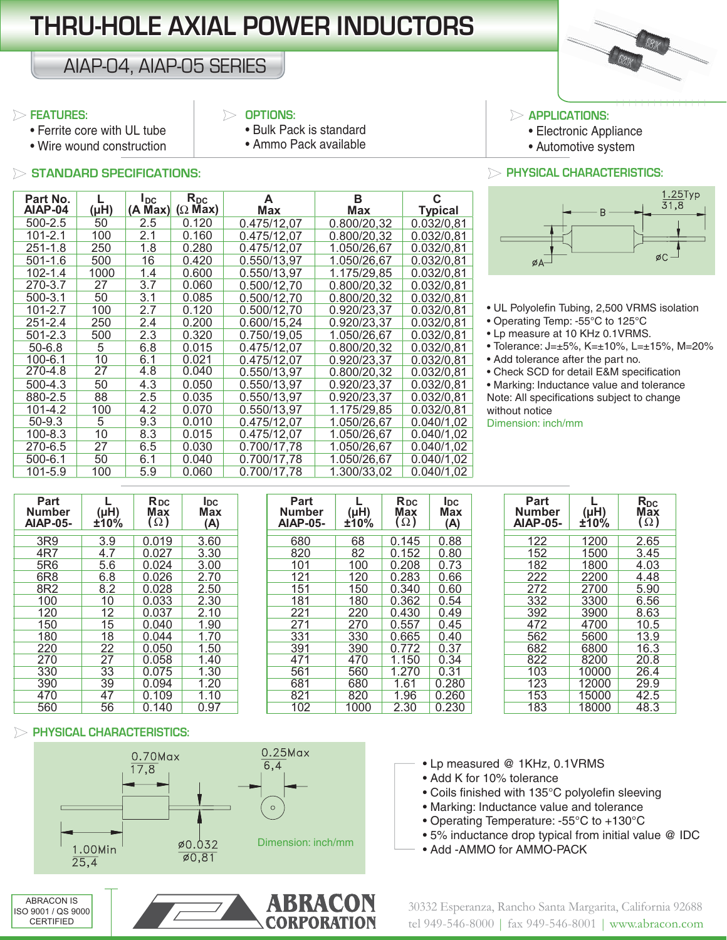# **THRU-HOLE AXIAL POWER INDUCTORS HRU-HOLE**

## AIAP-04, AIAP-05 SERIES

#### **FEATURES:**

#### **OPTIONS:** • Bulk Pack is standard

• Ammo Pack available

- Ferrite core with UL tube
- Wire wound construction

#### **STANDARD SPECIFICATIONS: PHYSICAL CHARACTERISTICS:**

| Part No.    |                 | <b>I</b> <sub>DC</sub> | $R_{DC}$       | A           | в           | င              |
|-------------|-----------------|------------------------|----------------|-------------|-------------|----------------|
| AIAP-04     | (Hu)            | (A Max)                | $(\Omega$ Max) | <b>Max</b>  | Max         | <b>Typical</b> |
| 500-2.5     | 50              | 2.5                    | 0.120          | 0.475/12.07 | 0.800/20,32 | 0.032/0.81     |
| 101-2.1     | 100             | 2.1                    | 0.160          | 0.475/12.07 | 0.800/20.32 | 0.032/0.81     |
| $251 - 1.8$ | 250             | 1.8                    | 0.280          | 0.475/12.07 | 1.050/26,67 | 0.032/0,81     |
| $501 - 1.6$ | 500             | 16                     | 0.420          | 0.550/13,97 | 1.050/26,67 | 0.032/0,81     |
| 102-1.4     | 1000            | 1.4                    | 0.600          | 0.550/13.97 | 1.175/29.85 | 0.032/0.81     |
| 270-3.7     | 27              | 3.7                    | 0.060          | 0.500/12.70 | 0.800/20.32 | 0.032/0.81     |
| $500 - 3.1$ | 50              | 3.1                    | 0.085          | 0.500/12.70 | 0.800/20.32 | 0.032/0.81     |
| 101-2.7     | 100             | 2.7                    | 0.120          | 0.500/12.70 | 0.920/23.37 | 0.032/0,81     |
| $251 - 2.4$ | 250             | 2.4                    | 0.200          | 0.600/15,24 | 0.920/23,37 | 0.032/0,81     |
| $501 - 2.3$ | 500             | 2.3                    | 0.320          | 0.750/19.05 | 1.050/26.67 | 0.032/0.81     |
| $50 - 6.8$  | 5               | 6.8                    | 0.015          | 0.475/12.07 | 0.800/20,32 | 0.032/0,81     |
| 100-6.1     | 10              | 6.1                    | 0.021          | 0.475/12.07 | 0.920/23.37 | 0.032/0.81     |
| 270-4.8     | $\overline{27}$ | 4.8                    | 0.040          | 0.550/13,97 | 0.800/20,32 | 0.032/0,81     |
| 500-4.3     | 50              | 4.3                    | 0.050          | 0.550/13.97 | 0.920/23.37 | 0.032/0,81     |
| 880-2.5     | 88              | 2.5                    | 0.035          | 0.550/13.97 | 0.920/23.37 | 0.032/0.81     |
| 101-4.2     | 100             | 4.2                    | 0.070          | 0.550/13,97 | 1.175/29.85 | 0.032/0.81     |
| $50-9.3$    | 5               | 9.3                    | 0.010          | 0.475/12.07 | 1.050/26.67 | 0.040/1.02     |
| 100-8.3     | 10              | 8.3                    | 0.015          | 0.475/12.07 | 1.050/26.67 | 0.040/1.02     |
| 270-6.5     | 27              | 6.5                    | 0.030          | 0.700/17,78 | 1.050/26,67 | 0.040/1,02     |
| 500-6.1     | 50              | 6.1                    | 0.040          | 0.700/17,78 | 1.050/26,67 | 0.040/1,02     |
| 101-5.9     | 100             | 5.9                    | 0.060          | 0.700/17.78 | 1.300/33.02 | 0.040/1,02     |

| $\triangleright$ applications: |  |  |  |  |  |  |  |  |  |
|--------------------------------|--|--|--|--|--|--|--|--|--|

- Electronic Appliance
- Automotive system



• UL Polyolefin Tubing, 2,500 VRMS isolation

- Operating Temp: -55°C to 125°C
- Lp measure at 10 KHz 0.1VRMS.
- Tolerance: J=±5%, K=±10%, L=±15%, M=20%
- Add tolerance after the part no.
- Check SCD for detail E&M specification

• Marking: Inductance value and tolerance Note: All specifications subject to change without notice

Dimension: inch/mm

| Part<br><b>Number</b><br><b>AIAP-05-</b> | (µH)<br>±10%    | <b>R</b> <sub>DC</sub><br><b>Max</b><br>$\left(\Omega\right)$ | lDC.<br><b>Max</b><br>(A) | Part<br><b>Number</b><br><b>AIAP-05-</b> | (µH)<br>±10% | <b>R</b> <sub>pc</sub><br><b>Max</b><br>$(\Omega)$ | <b>IDC</b><br><b>Max</b><br>(A) | <b>Part</b><br><b>Number</b><br><b>AIAP-05-</b> | $(\mu H)$<br><b>£10%</b> | R <sub>DC</sub><br>Max<br>$(\Omega)$ |
|------------------------------------------|-----------------|---------------------------------------------------------------|---------------------------|------------------------------------------|--------------|----------------------------------------------------|---------------------------------|-------------------------------------------------|--------------------------|--------------------------------------|
|                                          |                 |                                                               |                           |                                          |              |                                                    |                                 |                                                 |                          |                                      |
| 3R9                                      | 3.9             | 0.019                                                         | 3.60                      | 680                                      | 68           | 0.145                                              | 0.88                            | 122                                             | 1200                     | 2.65                                 |
| 4R7                                      | 4.7             | 0.027                                                         | 3.30                      | 820                                      | 82           | 0.152                                              | 0.80                            | 152                                             | 1500                     | 3.45                                 |
| 5R6                                      | 5.6             | 0.024                                                         | 3.00                      | 101                                      | 100          | 0.208                                              | 0.73                            | 182                                             | 1800                     | 4.03                                 |
| 6R <sub>8</sub>                          | 6.8             | 0.026                                                         | 2.70                      | 121                                      | 120          | 0.283                                              | 0.66                            | 222                                             | 2200                     | 4.48                                 |
| 8R2                                      | 8.2             | 0.028                                                         | 2.50                      | 151                                      | 150          | 0.340                                              | 0.60                            | 272                                             | 2700                     | 5.90                                 |
| 100                                      | 10              | 0.033                                                         | 2.30                      | 181                                      | 180          | 0.362                                              | 0.54                            | 332                                             | 3300                     | 6.56                                 |
| 120                                      | 12              | 0.037                                                         | 2.10                      | 221                                      | 220          | 0.430                                              | 0.49                            | 392                                             | 3900                     | 8.63                                 |
| 150                                      | 15              | 0.040                                                         | 1.90                      | 271                                      | 270          | 0.557                                              | 0.45                            | 472                                             | 4700                     | 10.5                                 |
| 180                                      | 18              | 0.044                                                         | 1.70                      | 331                                      | 330          | 0.665                                              | 0.40                            | 562                                             | 5600                     | 13.9                                 |
| 220                                      | 22              | 0.050                                                         | 1.50                      | 391                                      | 390          | 0.772                                              | 0.37                            | 682                                             | 6800                     | 16.3                                 |
| 270                                      | 27              | 0.058                                                         | 1.40                      | 471                                      | 470          | 1.150                                              | 0.34                            | 822                                             | 8200                     | 20.8                                 |
| 330                                      | $\overline{33}$ | 0.075                                                         | 1.30                      | 561                                      | 560          | 1.270                                              | 0.31                            | 103                                             | 10000                    | 26.4                                 |
| 390                                      | 39              | 0.094                                                         | 1.20                      | 681                                      | 680          | 1.61                                               | 0.280                           | 123                                             | 12000                    | 29.9                                 |
| 470                                      | 47              | 0.109                                                         | 1.10                      | 821                                      | 820          | 1.96                                               | 0.260                           | 153                                             | 15000                    | 42.5                                 |
| 560                                      | 56              | 0.140                                                         | n 97                      | 102                                      | 1000.        | ୨ २०                                               | <u>በ 23ሀ</u>                    | 183                                             | 18000.                   | $\overline{AB}$ 3                    |

| Part<br>umber<br>AP-05- | $(\mu H)$<br>±10% | <b>R</b> <sub>DC</sub><br>Max<br>$\Omega$ ) | lDC.<br>Max<br>(A) | Part<br><b>Number</b><br><b>AIAP-05-</b> | $(\mu H)$<br>±10% | <b>R</b> <sub>DC</sub><br>Max<br>$\Omega$ ) | lDC.<br><b>Max</b><br>(A) | <b>Part</b><br>Number<br><b>AIAP-05-</b> | $(\mu H)$<br>±10% | $R_{DC}$<br>Max<br>$(\Omega)$ |
|-------------------------|-------------------|---------------------------------------------|--------------------|------------------------------------------|-------------------|---------------------------------------------|---------------------------|------------------------------------------|-------------------|-------------------------------|
| 3R9                     | 3.9               | 0.019                                       | 3.60               | 680                                      | 68                | 0.145                                       | 0.88                      | 122                                      | 1200              | 2.65                          |
| 4R7                     | 4.7               | 0.027                                       | 3.30               | 820                                      | 82                | 0.152                                       | 0.80                      | 152                                      | 1500              | 3.45                          |
| 5R6                     | 5.6               | 0.024                                       | 3.00               | 101                                      | 100               | 0.208                                       | 0.73                      | 182                                      | 1800              | 4.03                          |
| 6R8                     | 6.8               | 0.026                                       | 2.70               | 121                                      | 120               | 0.283                                       | 0.66                      | 222                                      | 2200              | 4.48                          |
| 8R2                     | 8.2               | 0.028                                       | 2.50               | 151                                      | 150               | 0.340                                       | 0.60                      | 272                                      | 2700              | 5.90                          |
| 100                     | 10                | 0.033                                       | 2.30               | 181                                      | 180               | 0.362                                       | 0.54                      | 332                                      | 3300              | 6.56                          |
| 120                     | 12                | 0.037                                       | 2.10               | 221                                      | 220               | 0.430                                       | 0.49                      | 392                                      | 3900              | 8.63                          |
| 150                     | 15                | 0.040                                       | 1.90               | 271                                      | 270               | 0.557                                       | 0.45                      | 472                                      | 4700              | 10.5                          |
| 180                     | 18                | 0.044                                       | 1.70               | 331                                      | 330               | 0.665                                       | 0.40                      | 562                                      | 5600              | 13.9                          |
| 220                     | 22                | 0.050                                       | 1.50               | 391                                      | 390               | 0.772                                       | 0.37                      | 682                                      | 6800              | 16.3                          |
| 270                     | 27                | 0.058                                       | 1.40               | 471                                      | 470               | 1.150                                       | 0.34                      | 822                                      | 8200              | 20.8                          |
| 330                     | 33                | 0.075                                       | 1.30               | 561                                      | 560               | 1.270                                       | 0.31                      | 103                                      | 10000             | 26.4                          |
| 390                     | 39                | 0.094                                       | 1.20               | 681                                      | 680               | 1.61                                        | 0.280                     | 123                                      | 12000             | 29.9                          |
| 470                     | 47                | 0.109                                       | 1.10               | 821                                      | 820               | 1.96                                        | 0.260                     | 153                                      | 15000             | 42.5                          |
| 560                     | 56                | 0.140                                       | 0.97               | 102                                      | 1000              | 2.30                                        | 0.230                     | 183                                      | 18000             | 48.3                          |

| Part<br>Number<br><b>AIAP-05-</b> | L<br>(Hu)<br>±10% | $R_{DC}$<br>Max<br>$(\Omega)$ |
|-----------------------------------|-------------------|-------------------------------|
| 122                               | 1200              | 2.65                          |
| 152                               | 1500              | 3.45                          |
| 182                               | 1800              | 4.03                          |
| 222                               | 2200              | 4.48                          |
| 272                               | 2700              | 5.90                          |
| 332                               | 3300              | 6.56                          |
| 392                               | 3900              | 8.63                          |
| 472                               | 4700              | 10.5                          |
| 562                               | 5600              | 13.9                          |
| 682                               | 6800              | 16.3                          |
| 822                               | 8200              | 20.8                          |
| 103                               | 10000             | 26.4                          |
| 123                               | 12000             | 29.9                          |
| 153                               | 15000             | 42.5                          |
| 183                               | 18000             | 48.3                          |

#### **PHYSICAL CHARACTERISTICS:**



- Lp measured @ 1KHz, 0.1VRMS
- Add K for 10% tolerance
- Coils finished with 135°C polyolefin sleeving
- Marking: Inductance value and tolerance
- Operating Temperature: -55°C to +130°C
- 5% inductance drop typical from initial value @ IDC
- Add -AMMO for AMMO-PACK

30332 Esperanza, Rancho Santa Margarita, California 92688 tel 949-546-8000 | fax 949-546-8001 | www.abracon.com